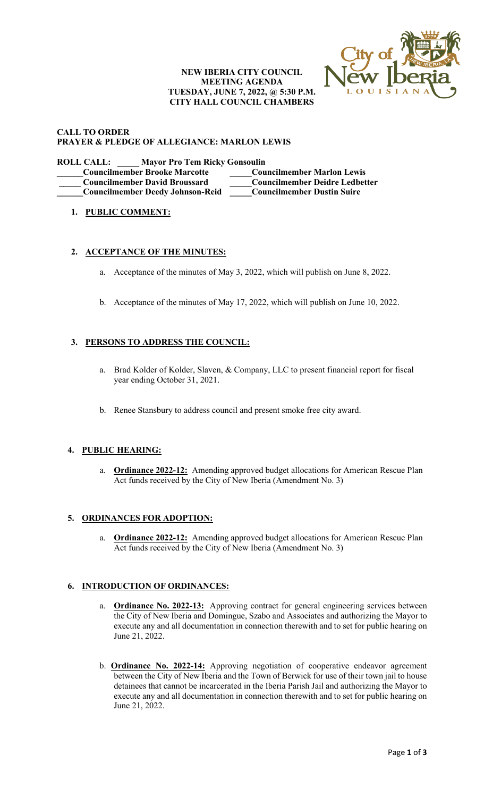### **NEW IBERIA CITY COUNCIL MEETING AGENDA TUESDAY, JUNE 7, 2022, @ 5:30 P.M. CITY HALL COUNCIL CHAMBERS**



#### **CALL TO ORDER PRAYER & PLEDGE OF ALLEGIANCE: MARLON LEWIS**

**ROLL CALL: \_\_\_\_\_ Mayor Pro Tem Ricky Gonsoulin \_\_\_\_\_\_Councilmember Brooke Marcotte \_\_\_\_\_Councilmember Marlon Lewis \_\_\_\_\_ Councilmember David Broussard \_\_\_\_\_Councilmember Deidre Ledbetter \_\_\_\_\_\_Councilmember Deedy Johnson-Reid \_\_\_\_\_Councilmember Dustin Suire**

# **1. PUBLIC COMMENT:**

## **2. ACCEPTANCE OF THE MINUTES:**

- a. Acceptance of the minutes of May 3, 2022, which will publish on June 8, 2022.
- b. Acceptance of the minutes of May 17, 2022, which will publish on June 10, 2022.

## **3. PERSONS TO ADDRESS THE COUNCIL:**

- a. Brad Kolder of Kolder, Slaven, & Company, LLC to present financial report for fiscal year ending October 31, 2021.
- b. Renee Stansbury to address council and present smoke free city award.

### **4. PUBLIC HEARING:**

a. **Ordinance 2022-12:** Amending approved budget allocations for American Rescue Plan Act funds received by the City of New Iberia (Amendment No. 3)

## **5. ORDINANCES FOR ADOPTION:**

a. **Ordinance 2022-12:** Amending approved budget allocations for American Rescue Plan Act funds received by the City of New Iberia (Amendment No. 3)

#### **6. INTRODUCTION OF ORDINANCES:**

- a. **Ordinance No. 2022-13:** Approving contract for general engineering services between the City of New Iberia and Domingue, Szabo and Associates and authorizing the Mayor to execute any and all documentation in connection therewith and to set for public hearing on June 21, 2022.
- b. **Ordinance No. 2022-14:** Approving negotiation of cooperative endeavor agreement between the City of New Iberia and the Town of Berwick for use of their town jail to house detainees that cannot be incarcerated in the Iberia Parish Jail and authorizing the Mayor to execute any and all documentation in connection therewith and to set for public hearing on June 21, 2022.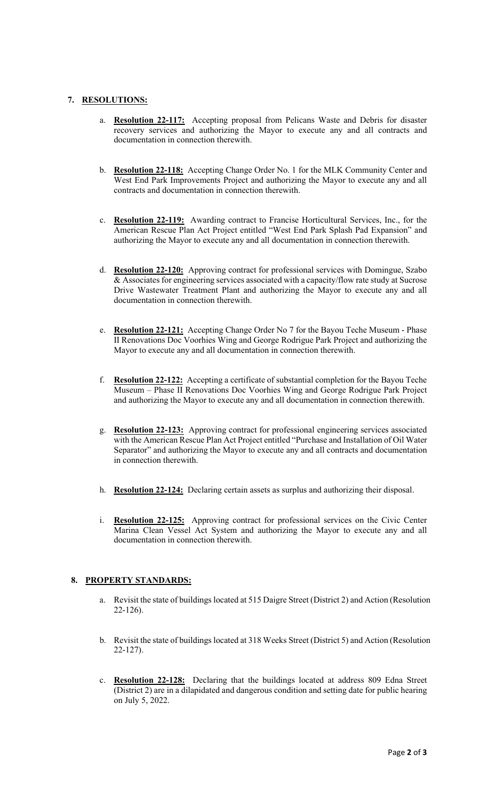### **7. RESOLUTIONS:**

- a. **Resolution 22-117:** Accepting proposal from Pelicans Waste and Debris for disaster recovery services and authorizing the Mayor to execute any and all contracts and documentation in connection therewith.
- b. **Resolution 22-118:** Accepting Change Order No. 1 for the MLK Community Center and West End Park Improvements Project and authorizing the Mayor to execute any and all contracts and documentation in connection therewith.
- c. **Resolution 22-119:** Awarding contract to Francise Horticultural Services, Inc., for the American Rescue Plan Act Project entitled "West End Park Splash Pad Expansion" and authorizing the Mayor to execute any and all documentation in connection therewith.
- d. **Resolution 22-120:** Approving contract for professional services with Domingue, Szabo & Associates for engineering services associated with a capacity/flow rate study at Sucrose Drive Wastewater Treatment Plant and authorizing the Mayor to execute any and all documentation in connection therewith.
- e. **Resolution 22-121:** Accepting Change Order No 7 for the Bayou Teche Museum Phase II Renovations Doc Voorhies Wing and George Rodrigue Park Project and authorizing the Mayor to execute any and all documentation in connection therewith.
- f. **Resolution 22-122:** Accepting a certificate of substantial completion for the Bayou Teche Museum – Phase II Renovations Doc Voorhies Wing and George Rodrigue Park Project and authorizing the Mayor to execute any and all documentation in connection therewith.
- g. **Resolution 22-123:** Approving contract for professional engineering services associated with the American Rescue Plan Act Project entitled "Purchase and Installation of Oil Water Separator" and authorizing the Mayor to execute any and all contracts and documentation in connection therewith.
- h. **Resolution 22-124:** Declaring certain assets as surplus and authorizing their disposal.
- i. **Resolution 22-125:** Approving contract for professional services on the Civic Center Marina Clean Vessel Act System and authorizing the Mayor to execute any and all documentation in connection therewith.

## **8. PROPERTY STANDARDS:**

- a. Revisit the state of buildings located at 515 Daigre Street (District 2) and Action (Resolution 22-126).
- b. Revisit the state of buildings located at 318 Weeks Street (District 5) and Action (Resolution 22-127).
- c. **Resolution 22-128:** Declaring that the buildings located at address 809 Edna Street (District 2) are in a dilapidated and dangerous condition and setting date for public hearing on July 5, 2022.